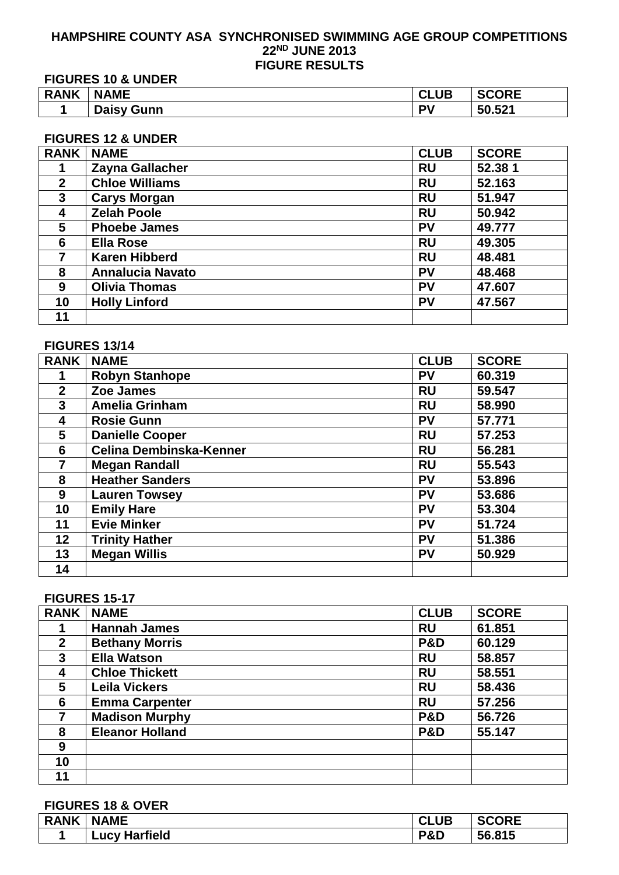#### **HAMPSHIRE COUNTY ASA SYNCHRONISED SWIMMING AGE GROUP COMPETITIONS ND JUNE 2013 FIGURE RESULTS**

**FIGURES 10 & UNDER**

| <b>RANK</b> | <b>NAME</b><br>NJ.          | <b>CLUB</b> | <b>SCORE</b> |
|-------------|-----------------------------|-------------|--------------|
|             | <b>Daisy</b><br>Gunn<br>ι-τ | PV          | 50.521       |

# **FIGURES 12 & UNDER**

| <b>RANK</b>  | <b>NAME</b>             | <b>CLUB</b> | <b>SCORE</b> |
|--------------|-------------------------|-------------|--------------|
|              | Zayna Gallacher         | <b>RU</b>   | 52.381       |
| $\mathbf{2}$ | <b>Chloe Williams</b>   | <b>RU</b>   | 52.163       |
| 3            | <b>Carys Morgan</b>     | <b>RU</b>   | 51.947       |
| 4            | <b>Zelah Poole</b>      | <b>RU</b>   | 50.942       |
| 5            | <b>Phoebe James</b>     | <b>PV</b>   | 49.777       |
| 6            | <b>Ella Rose</b>        | <b>RU</b>   | 49.305       |
| 7            | <b>Karen Hibberd</b>    | <b>RU</b>   | 48.481       |
| 8            | <b>Annalucia Navato</b> | PV          | 48.468       |
| 9            | <b>Olivia Thomas</b>    | PV          | 47.607       |
| 10           | <b>Holly Linford</b>    | PV          | 47.567       |
| 11           |                         |             |              |

## **FIGURES 13/14**

| <b>RANK</b>    | <b>NAME</b>             | <b>CLUB</b> | <b>SCORE</b> |
|----------------|-------------------------|-------------|--------------|
|                | <b>Robyn Stanhope</b>   | <b>PV</b>   | 60.319       |
| $\overline{2}$ | Zoe James               | <b>RU</b>   | 59.547       |
| 3              | <b>Amelia Grinham</b>   | <b>RU</b>   | 58.990       |
| 4              | <b>Rosie Gunn</b>       | <b>PV</b>   | 57.771       |
| 5              | <b>Danielle Cooper</b>  | <b>RU</b>   | 57.253       |
| 6              | Celina Dembinska-Kenner | <b>RU</b>   | 56.281       |
| 7              | <b>Megan Randall</b>    | <b>RU</b>   | 55.543       |
| 8              | <b>Heather Sanders</b>  | <b>PV</b>   | 53.896       |
| 9              | <b>Lauren Towsey</b>    | <b>PV</b>   | 53.686       |
| 10             | <b>Emily Hare</b>       | <b>PV</b>   | 53.304       |
| 11             | <b>Evie Minker</b>      | <b>PV</b>   | 51.724       |
| 12             | <b>Trinity Hather</b>   | <b>PV</b>   | 51.386       |
| 13             | <b>Megan Willis</b>     | <b>PV</b>   | 50.929       |
| 14             |                         |             |              |

# **FIGURES 15-17**

| <b>RANK</b>  | <b>NAME</b>            | <b>CLUB</b>    | <b>SCORE</b> |
|--------------|------------------------|----------------|--------------|
|              | <b>Hannah James</b>    | <b>RU</b>      | 61.851       |
| $\mathbf{2}$ | <b>Bethany Morris</b>  | <b>P&amp;D</b> | 60.129       |
| 3            | <b>Ella Watson</b>     | <b>RU</b>      | 58.857       |
| 4            | <b>Chloe Thickett</b>  | <b>RU</b>      | 58.551       |
| 5            | <b>Leila Vickers</b>   | <b>RU</b>      | 58.436       |
| 6            | <b>Emma Carpenter</b>  | <b>RU</b>      | 57.256       |
|              | <b>Madison Murphy</b>  | <b>P&amp;D</b> | 56.726       |
| 8            | <b>Eleanor Holland</b> | <b>P&amp;D</b> | 55.147       |
| 9            |                        |                |              |
| 10           |                        |                |              |
| 11           |                        |                |              |

# **FIGURES 18 & OVER**

| <b>RANK</b> | <b>NAME</b>                           | <b>CLUB</b> | SCORE<br>ושי |
|-------------|---------------------------------------|-------------|--------------|
|             | <b>Harfield</b><br>$\lnot$ ucy<br>Har | P&D         | 56.815       |